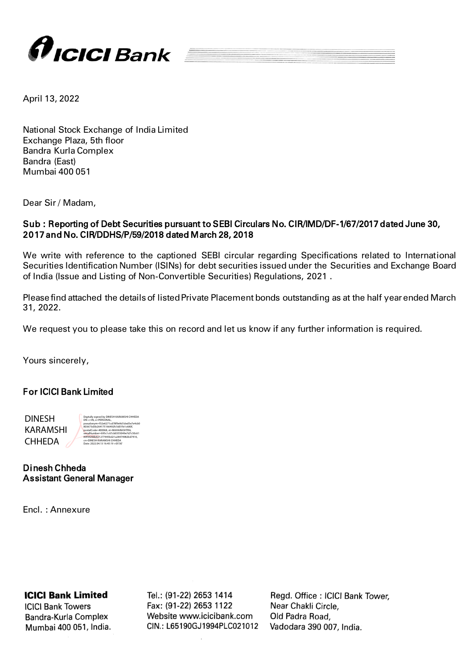

April 13, 2022

National Stock Exchange of India Limited Exchange Plaza, 5th floor Bandra Kurla Complex Bandra (East) Mumbai 400 051

Dear Sir / Madam,

## Sub : Reporting of Debt Securities pursuant to SEBI Circulars No. CIR/IMD/DF-1/67/2017 dated June 30, 2017 and No. CIR/DDHS/P/59/2018 dated March 28, 2018

We write with reference to the captioned SEBI circular regarding Specifications related to International Securities Identification Number (ISINs) for debt securities issued under the Securities and Exchange Board of India (Issue and Listing of Non-Convertible Securities) Regulations, 2021 .

Please find attached the details of listed Private Placement bonds outstanding as at the half year ended March 31, 2022.

We request you to please take this on record and let us know if any further information is required.

Yours sincerely,

## For ICICI Bank Limited

 DINESH KARAMSHI CHHEDA

postalCode=400068, st=MAHARASHTRA, serialNumber=695c1c67cb0355049e7d7c50c61 89f44200b821277445bd21a28474982bd7416, cn=DINESH KARAMSHI CHHEDA Date: 2022.04.13 16:45:19 +05'30'

Digitally signed by DINESH KARAMSHI CHHEDA DN: c=IN, o=PERSONAL, pseudonym=f32e6271cd78f9e9d1ded5e7e4cb0 803673d3b264175166492fc5d01fe1c680f,

Dinesh Chheda Assistant General Manager

Encl. : Annexure

## **ICICI Bank Limited**

**ICICI Bank Towers** Bandra-Kurla Complex Mumbai 400 051, India. Tel.: (91-22) 2653 1414 Fax: (91-22) 2653 1122 Website www.icicibank.com CIN.: L65190GJ1994PLC021012 Regd. Office: ICICI Bank Tower, Near Chakli Circle, Old Padra Road, Vadodara 390 007, India.